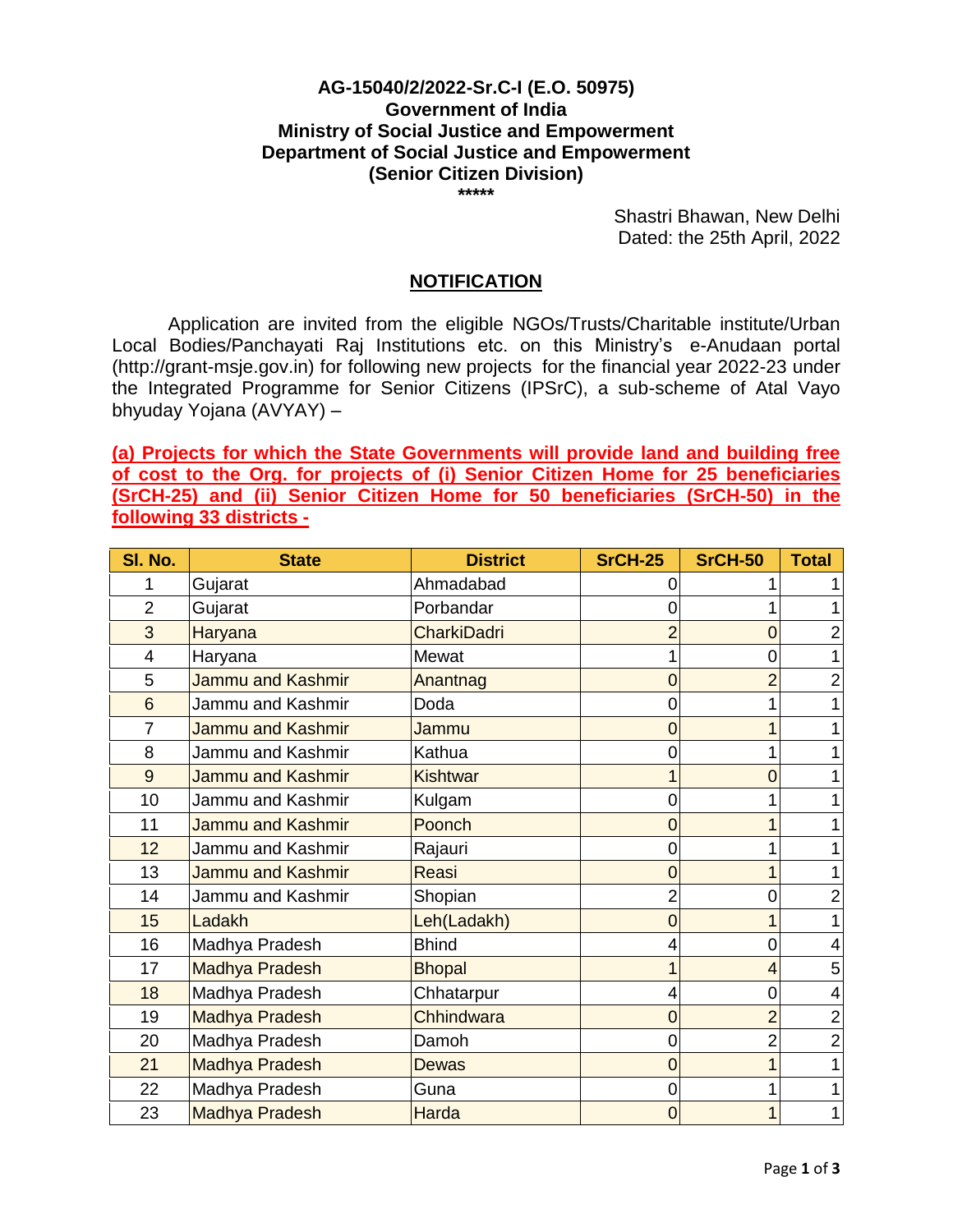## **AG-15040/2/2022-Sr.C-I (E.O. 50975) Government of India Ministry of Social Justice and Empowerment Department of Social Justice and Empowerment (Senior Citizen Division)**

**\*\*\*\*\***

Shastri Bhawan, New Delhi Dated: the 25th April, 2022

## **NOTIFICATION**

Application are invited from the eligible NGOs/Trusts/Charitable institute/Urban Local Bodies/Panchayati Raj Institutions etc. on this Ministry's e-Anudaan portal (http://grant-msje.gov.in) for following new projects for the financial year 2022-23 under the Integrated Programme for Senior Citizens (IPSrC), a sub-scheme of Atal Vayo bhyuday Yojana (AVYAY) –

**(a) Projects for which the State Governments will provide land and building free of cost to the Org. for projects of (i) Senior Citizen Home for 25 beneficiaries (SrCH-25) and (ii) Senior Citizen Home for 50 beneficiaries (SrCH-50) in the following 33 districts -**

| SI. No.        | <b>State</b>             | <b>District</b>    | <b>SrCH-25</b> | <b>SrCH-50</b> | <b>Total</b>   |
|----------------|--------------------------|--------------------|----------------|----------------|----------------|
|                | Gujarat                  | Ahmadabad          |                |                |                |
| $\overline{2}$ | Gujarat                  | Porbandar          |                |                |                |
| 3              | Haryana                  | <b>CharkiDadri</b> |                | 0              |                |
| 4              | Haryana                  | Mewat              |                | 0              |                |
| 5              | Jammu and Kashmir        | Anantnag           | ი              |                | 2              |
| 6              | Jammu and Kashmir        | Doda               |                |                |                |
| $\overline{7}$ | Jammu and Kashmir        | Jammu              |                |                |                |
| 8              | Jammu and Kashmir        | Kathua             |                |                |                |
| 9              | Jammu and Kashmir        | <b>Kishtwar</b>    |                | 0              |                |
| 10             | Jammu and Kashmir        | Kulgam             |                |                |                |
| 11             | <b>Jammu and Kashmir</b> | Poonch             |                |                |                |
| 12             | Jammu and Kashmir        | Rajauri            |                |                |                |
| 13             | <b>Jammu and Kashmir</b> | Reasi              | 0              |                |                |
| 14             | Jammu and Kashmir        | Shopian            |                | 0              |                |
| 15             | Ladakh                   | Leh(Ladakh)        | 0              |                |                |
| 16             | Madhya Pradesh           | <b>Bhind</b>       |                | 0              |                |
| 17             | Madhya Pradesh           | <b>Bhopal</b>      |                |                | 5              |
| 18             | Madhya Pradesh           | Chhatarpur         |                | 0              | 4              |
| 19             | Madhya Pradesh           | Chhindwara         | 0              | 2              | $\overline{2}$ |
| 20             | Madhya Pradesh           | Damoh              | 0              | $\overline{2}$ | $\overline{2}$ |
| 21             | <b>Madhya Pradesh</b>    | Dewas              | 0              |                |                |
| 22             | Madhya Pradesh           | Guna               |                |                |                |
| 23             | <b>Madhya Pradesh</b>    | <b>Harda</b>       | 0              |                |                |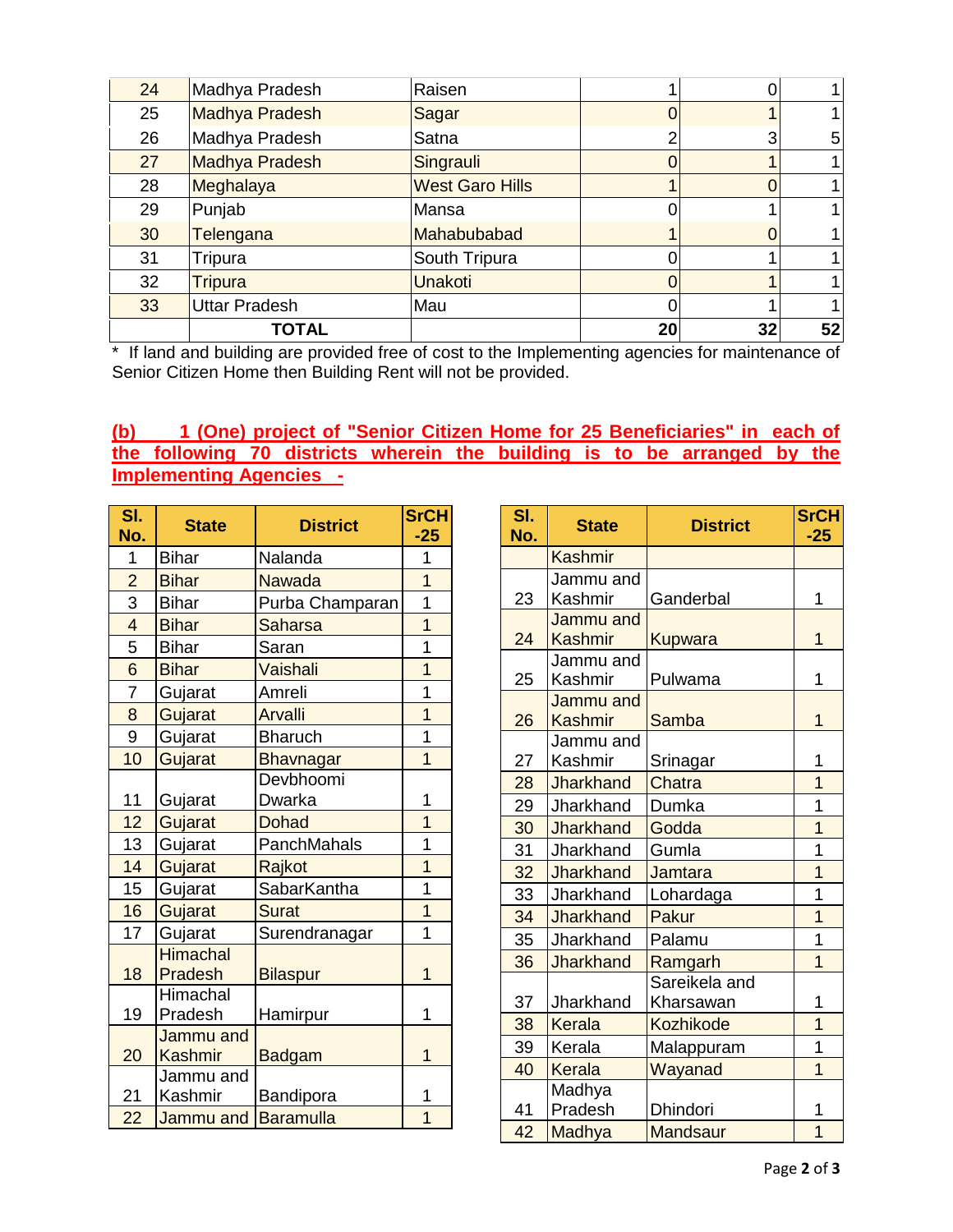| 24 | Madhya Pradesh       | Raisen                 |    |    |    |
|----|----------------------|------------------------|----|----|----|
| 25 | Madhya Pradesh       | Sagar                  |    |    |    |
| 26 | Madhya Pradesh       | Satna                  | ົ  | 3  | 5  |
| 27 | Madhya Pradesh       | Singrauli              |    |    |    |
| 28 | Meghalaya            | <b>West Garo Hills</b> |    | 0  |    |
| 29 | Punjab               | Mansa                  |    |    |    |
| 30 | Telengana            | Mahabubabad            |    | 0  |    |
| 31 | Tripura              | South Tripura          |    |    |    |
| 32 | <b>Tripura</b>       | <b>Unakoti</b>         |    |    |    |
| 33 | <b>Uttar Pradesh</b> | Mau                    |    |    |    |
|    | <b>TOTAL</b>         |                        | 20 | 32 | 52 |

\* If land and building are provided free of cost to the Implementing agencies for maintenance of Senior Citizen Home then Building Rent will not be provided.

## **(b) 1 (One) project of "Senior Citizen Home for 25 Beneficiaries" in each of the following 70 districts wherein the building is to be arranged by the Implementing Agencies -**

| SI.            | <b>State</b>               | <b>District</b>  | <b>SrCH</b>    |
|----------------|----------------------------|------------------|----------------|
| No.            |                            |                  | $-25$          |
| 1              | <b>Bihar</b>               | Nalanda          | 1              |
| $\overline{2}$ | <b>Bihar</b>               | Nawada           | $\overline{1}$ |
| 3              | <b>Bihar</b>               | Purba Champaran  | $\overline{1}$ |
| $\overline{4}$ | <b>Bihar</b>               | <b>Saharsa</b>   | $\overline{1}$ |
| 5              | <b>Bihar</b>               | Saran            | $\overline{1}$ |
| 6              | <b>Bihar</b>               | Vaishali         | $\overline{1}$ |
| $\overline{7}$ | Gujarat                    | Amreli           | $\overline{1}$ |
| 8              | Gujarat                    | <b>Arvalli</b>   | $\overline{1}$ |
| 9              | Gujarat                    | <b>Bharuch</b>   | $\overline{1}$ |
| 10             | Gujarat                    | Bhavnagar        | $\overline{1}$ |
|                |                            | Devbhoomi        |                |
| 11             | Gujarat                    | Dwarka           | 1              |
| 12             | Gujarat                    | Dohad            | $\overline{1}$ |
| 13             | Gujarat                    | PanchMahals      | $\overline{1}$ |
| 14             | Gujarat                    | Rajkot           | $\overline{1}$ |
| 15             | Gujarat                    | SabarKantha      | $\overline{1}$ |
| 16             | Gujarat                    | <b>Surat</b>     | $\overline{1}$ |
| 17             | Gujarat                    | Surendranagar    | $\overline{1}$ |
| 18             | <b>Himachal</b><br>Pradesh | <b>Bilaspur</b>  | $\overline{1}$ |
|                | Himachal                   |                  |                |
| 19             | Pradesh                    | Hamirpur         | 1              |
|                | Jammu and                  |                  |                |
| 20             | <b>Kashmir</b>             | <b>Badgam</b>    | $\overline{1}$ |
|                | Jammu and                  |                  |                |
| 21             | Kashmir                    | Bandipora        | 1              |
| 22             | Jammu and                  | <b>Baramulla</b> | $\overline{1}$ |

| SI.<br>No. | <b>State</b>     | <b>District</b>  | <b>SrCH</b><br>-25 |
|------------|------------------|------------------|--------------------|
|            | <b>Kashmir</b>   |                  |                    |
|            | Jammu and        |                  |                    |
| 23         | Kashmir          | Ganderbal        | 1                  |
|            | Jammu and        |                  |                    |
| 24         | Kashmir          | <b>Kupwara</b>   | $\overline{1}$     |
|            | Jammu and        |                  |                    |
| 25         | Kashmir          | Pulwama          | 1                  |
|            | Jammu and        |                  |                    |
| 26         | <b>Kashmir</b>   | Samba            | 1                  |
|            | Jammu and        |                  |                    |
| 27         | Kashmir          | Srinagar         | 1                  |
| 28         | <b>Jharkhand</b> | Chatra           | 1                  |
| 29         | Jharkhand        | Dumka            | 1                  |
| 30         | <b>Jharkhand</b> | Godda            | 1                  |
| 31         | Jharkhand        | Gumla            | 1                  |
| 32         | <b>Jharkhand</b> | Jamtara          | 1                  |
| 33         | Jharkhand        | Lohardaga        | 1                  |
| 34         | <b>Jharkhand</b> | Pakur            | $\overline{1}$     |
| 35         | Jharkhand        | Palamu           | 1                  |
| 36         | <b>Jharkhand</b> | Ramgarh          | $\overline{1}$     |
|            |                  | Sareikela and    |                    |
| 37         | Jharkhand        | Kharsawan        | 1                  |
| 38         | Kerala           | <b>Kozhikode</b> | 1                  |
| 39         | Kerala           | Malappuram       | 1                  |
| 40         | Kerala           | Wayanad          | $\overline{1}$     |
|            | Madhya           |                  |                    |
| 41         | Pradesh          | Dhindori         | 1                  |
| 42         | Madhya           | <b>Mandsaur</b>  | $\overline{1}$     |